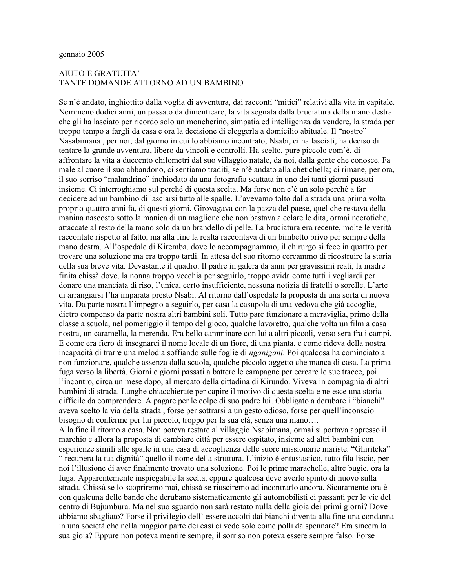#### gennaio 2005

#### **AIUTO E GRATUITA'** TANTE DOMANDE ATTORNO AD UN BAMBINO

Se n'è andato, inghiottito dalla voglia di avventura, dai racconti "mitici" relativi alla vita in capitale. Nemmeno dodici anni, un passato da dimenticare, la vita segnata dalla bruciatura della mano destra che gli ha lasciato per ricordo solo un moncherino, simpatia ed intelligenza da vendere, la strada per troppo tempo a fargli da casa e ora la decisione di eleggerla a domicilio abituale. Il "nostro" Nasabimana, per noi, dal giorno in cui lo abbiamo incontrato, Nsabi, ci ha lasciati, ha deciso di tentare la grande avventura, libero da vincoli e controlli. Ha scelto, pure piccolo com'è, di affrontare la vita a duecento chilometri dal suo villaggio natale, da noi, dalla gente che conosce. Fa male al cuore il suo abbandono, ci sentiamo traditi, se n'è andato alla chetichella; ci rimane, per ora, il suo sorriso "malandrino" inchiodato da una fotografia scattata in uno dei tanti giorni passati insieme. Ci interroghiamo sul perché di questa scelta. Ma forse non c'è un solo perché a far decidere ad un bambino di lasciarsi tutto alle spalle. L'avevamo tolto dalla strada una prima volta proprio quattro anni fa, di questi giorni. Girovagava con la pazza del paese, quel che restava della manina nascosto sotto la manica di un maglione che non bastava a celare le dita, ormai necrotiche, attaccate al resto della mano solo da un brandello di pelle. La bruciatura era recente, molte le verità raccontate rispetto al fatto, ma alla fine la realtà raccontava di un bimbetto privo per sempre della mano destra. All'ospedale di Kiremba, dove lo accompagnammo, il chirurgo si fece in quattro per trovare una soluzione ma era troppo tardi. In attesa del suo ritorno cercammo di ricostruire la storia della sua breve vita. Devastante il quadro. Il padre in galera da anni per gravissimi reati, la madre finita chissà dove, la nonna troppo vecchia per seguirlo, troppo avida come tutti i vegliardi per donare una manciata di riso, l'unica, certo insufficiente, nessuna notizia di fratelli o sorelle. L'arte di arrangiarsi l'ha imparata presto Nsabi. Al ritorno dall'ospedale la proposta di una sorta di nuova vita. Da parte nostra l'impegno a seguirlo, per casa la casupola di una vedova che già accoglie, dietro compenso da parte nostra altri bambini soli. Tutto pare funzionare a meraviglia, primo della classe a scuola, nel pomeriggio il tempo del gioco, qualche lavoretto, qualche volta un film a casa nostra, un caramella, la merenda. Era bello camminare con lui a altri piccoli, verso sera fra i campi. E come era fiero di insegnarci il nome locale di un fiore, di una pianta, e come rideva della nostra incapacità di trarre una melodia soffiando sulle foglie di *nganigani*. Poi qualcosa ha cominciato a non funzionare, qualche assenza dalla scuola, qualche piccolo oggetto che manca di casa. La prima fuga verso la libertà. Giorni e giorni passati a battere le campagne per cercare le sue tracce, poi l'incontro, circa un mese dopo, al mercato della cittadina di Kirundo. Viveva in compagnia di altri bambini di strada. Lunghe chiacchierate per capire il motivo di questa scelta e ne esce una storia difficile da comprendere. A pagare per le colpe di suo padre lui. Obbligato a derubare i "bianchi" aveva scelto la via della strada, forse per sottrarsi a un gesto odioso, forse per quell'inconscio bisogno di conferme per lui piccolo, troppo per la sua età, senza una mano.... Alla fine il ritorno a casa. Non poteva restare al villaggio Nsabimana, ormai si portava appresso il marchio e allora la proposta di cambiare città per essere ospitato, insieme ad altri bambini con esperienze simili alle spalle in una casa di accoglienza delle suore missionarie mariste. "Ghiriteka" " recupera la tua dignità" quello il nome della struttura. L'inizio è entusiastico, tutto fila liscio, per noi l'illusione di aver finalmente trovato una soluzione. Poi le prime marachelle, altre bugie, ora la fuga. Apparentemente inspiegabile la scelta, eppure qualcosa deve averlo spinto di nuovo sulla strada. Chissà se lo scopriremo mai, chissà se riusciremo ad incontrarlo ancora. Sicuramente ora è con qualcuna delle bande che derubano sistematicamente gli automobilisti ei passanti per le vie del centro di Bujumbura. Ma nel suo sguardo non sarà restato nulla della gioia dei primi giorni? Dove abbiamo sbagliato? Forse il privilegio dell'essere accolti dai bianchi diventa alla fine una condanna

in una società che nella maggior parte dei casi ci vede solo come polli da spennare? Era sincera la sua gioia? Eppure non poteva mentire sempre, il sorriso non poteva essere sempre falso. Forse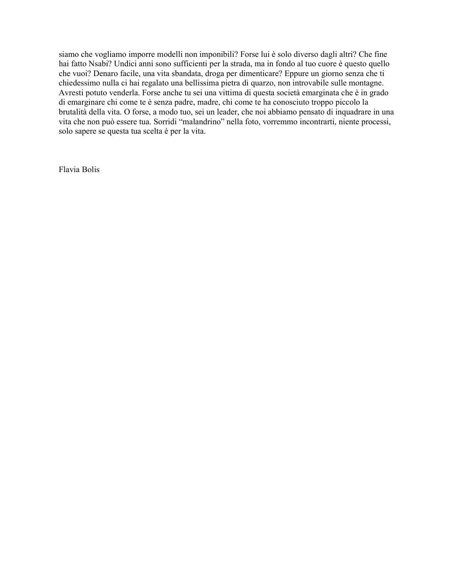siamo che vogliamo imporre modelli non imponibili? Forse lui è solo diverso dagli altri? Che fine hai fatto Nsabi? Undici anni sono sufficienti per la strada, ma in fondo al tuo cuore è questo quello che vuoi? Denaro facile, una vita sbandata, droga per dimenticare? Eppure un giorno senza che ti chiedessimo nulla ci hai regalato una bellissima pietra di quarzo, non introvabile sulle montagne. Avresti potuto venderla. Forse anche tu sei una vittima di questa società emarginata che è in grado di emarginare chi come te è senza padre, madre, chi come te ha conosciuto troppo piccolo la brutalità della vita. O forse, a modo tuo, sei un leader, che noi abbiamo pensato di inquadrare in una vita che non può essere tua. Sorridi "malandrino" nella foto, vorremmo incontrarti, niente processi, solo sapere se questa tua scelta è per la vita.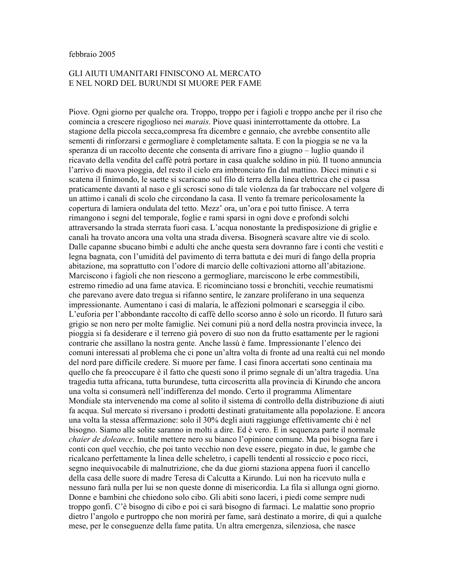#### febbraio 2005

## GLI AIUTI UMANITARI FINISCONO AL MERCATO E NEL NORD DEL BURUNDI SI MUORE PER FAME

Piove. Ogni giorno per qualche ora. Troppo, troppo per i fagioli e troppo anche per il riso che comincia a crescere rigoglioso nei *marais*. Piove quasi ininterrottamente da ottobre. La stagione della piccola secca compresa fra dicembre e gennaio, che avrebbe consentito alle sementi di rinforzarsi e germogliare è completamente saltata. E con la pioggia se ne va la speranza di un raccolto decente che consenta di arrivare fino a giugno – luglio quando il ricavato della vendita del caffè potrà portare in casa qualche soldino in più. Il tuono annuncia l'arrivo di nuova pioggia, del resto il cielo era imbronciato fin dal mattino. Dieci minuti e si scatena il finimondo, le saette si scaricano sul filo di terra della linea elettrica che ci passa praticamente davanti al naso e gli scrosci sono di tale violenza da far traboccare nel volgere di un attimo i canali di scolo che circondano la casa. Il vento fa tremare pericolosamente la copertura di lamiera ondulata del tetto. Mezz' ora, un'ora e poi tutto finisce. A terra rimangono i segni del temporale, foglie e rami sparsi in ogni dove e profondi solchi attraversando la strada sterrata fuori casa. L'acqua nonostante la predisposizione di griglie e canali ha trovato ancora una volta una strada diversa. Bisognerà scavare altre vie di scolo. Dalle capanne sbucano bimbi e adulti che anche questa sera dovranno fare i conti che vestiti e legna bagnata, con l'umidità del pavimento di terra battuta e dei muri di fango della propria abitazione, ma soprattutto con l'odore di marcio delle coltivazioni attorno all'abitazione. Marciscono i fagioli che non riescono a germogliare, marciscono le erbe commestibili, estremo rimedio ad una fame atavica. E ricominciano tossi e bronchiti, vecchie reumatismi che parevano avere dato tregua si rifanno sentire, le zanzare proliferano in una sequenza impressionante. Aumentano i casi di malaria, le affezioni polmonari e scarseggia il cibo. L'euforia per l'abbondante raccolto di caffè dello scorso anno è solo un ricordo. Il futuro sarà grigio se non nero per molte famiglie. Nei comuni più a nord della nostra provincia invece, la pioggia si fa desiderare e il terreno già povero di suo non da frutto esattamente per le ragioni contrarie che assillano la nostra gente. Anche lassù è fame. Impressionante l'elenco dei comuni interessati al problema che ci pone un'altra volta di fronte ad una realtà cui nel mondo del nord pare difficile credere. Si muore per fame. I casi finora accertati sono centinaia ma quello che fa preoccupare è il fatto che questi sono il primo segnale di un'altra tragedia. Una tragedia tutta africana, tutta burundese, tutta circoscritta alla provincia di Kirundo che ancora una volta si consumerà nell'indifferenza del mondo. Certo il programma Alimentare Mondiale sta intervenendo ma come al solito il sistema di controllo della distribuzione di aiuti fa acqua. Sul mercato si riversano i prodotti destinati gratuitamente alla popolazione. E ancora una volta la stessa affermazione: solo il 30% degli aiuti raggiunge effettivamente chi è nel bisogno. Siamo alle solite saranno in molti a dire. Ed è vero. E in sequenza parte il normale *chaier de doleance*. Inutile mettere nero su bianco l'opinione comune. Ma poi bisogna fare i conti con quel vecchio, che poi tanto vecchio non deve essere, piegato in due, le gambe che ricalcano perfettamente la linea delle scheletro, i capelli tendenti al rossiccio e poco ricci, segno inequivocabile di malnutrizione, che da due giorni staziona appena fuori il cancello della casa delle suore di madre Teresa di Calcutta a Kirundo. Lui non ha ricevuto nulla e nessuno farà nulla per lui se non queste donne di misericordia. La fila si allunga ogni giorno. Donne e bambini che chiedono solo cibo. Gli abiti sono laceri, i piedi come sempre nudi troppo gonfi. C'è bisogno di cibo e poi ci sarà bisogno di farmaci. Le malattie sono proprio dietro l'angolo e purtroppo che non morirà per fame, sarà destinato a morire, di qui a qualche mese, per le conseguenze della fame patita. Un altra emergenza, silenziosa, che nasce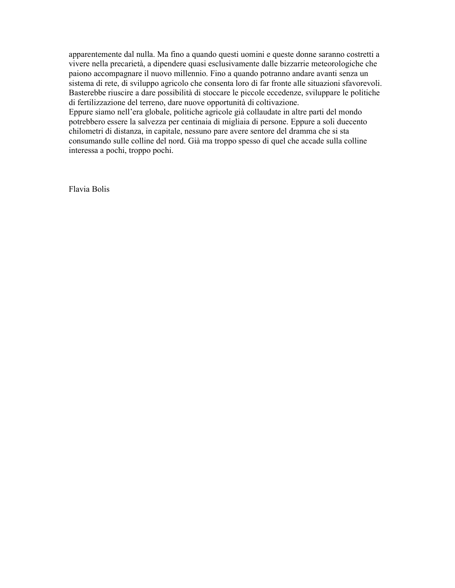apparentemente dal nulla. Ma fino a quando questi uomini e queste donne saranno costretti a vivere nella precarietà, a dipendere quasi esclusivamente dalle bizzarrie meteorologiche che paiono accompagnare il nuovo millennio. Fino a quando potranno andare avanti senza un sistema di rete, di sviluppo agricolo che consenta loro di far fronte alle situazioni sfavorevoli. Basterebbe riuscire a dare possibilità di stoccare le piccole eccedenze, sviluppare le politiche di fertilizzazione del terreno, dare nuove opportunità di coltivazione.

Eppure siamo nell'era globale, politiche agricole già collaudate in altre parti del mondo potrebbero essere la salvezza per centinaia di migliaia di persone. Eppure a soli duecento chilometri di distanza, in capitale, nessuno pare avere sentore del dramma che si sta consumando sulle colline del nord. Già ma troppo spesso di quel che accade sulla colline interessa a pochi, troppo pochi.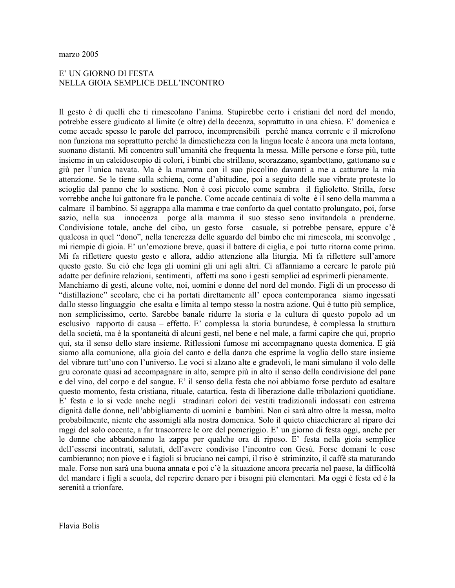## E' UN GIORNO DI FESTA NELLA GIOIA SEMPLICE DELL'INCONTRO

Il gesto è di quelli che ti rimescolano l'anima. Stupirebbe certo i cristiani del nord del mondo, potrebbe essere giudicato al limite (e oltre) della decenza, soprattutto in una chiesa. E' domenica e come accade spesso le parole del parroco, incomprensibili perché manca corrente e il microfono non funziona ma soprattutto perché la dimestichezza con la lingua locale è ancora una meta lontana, suonano distanti. Mi concentro sull'umanità che frequenta la messa. Mille persone e forse più, tutte insieme in un caleidoscopio di colori, i bimbi che strillano, scorazzano, sgambettano, gattonano su e giù per l'unica navata. Ma è la mamma con il suo piccolino davanti a me a catturare la mia attenzione. Se le tiene sulla schiena, come d'abitudine, poi a seguito delle sue vibrate proteste lo scioglie dal panno che lo sostiene. Non è così piccolo come sembra il figlioletto. Strilla, forse vorrebbe anche lui gattonare fra le panche. Come accade centinaia di volte è il seno della mamma a calmare il bambino. Si aggrappa alla mamma e trae conforto da quel contatto prolungato, poi, forse sazio, nella sua innocenza porge alla mamma il suo stesso seno invitandola a prenderne. Condivisione totale, anche del cibo, un gesto forse casuale, si potrebbe pensare, eppure c'è qualcosa in quel "dono", nella tenerezza delle sguardo del bimbo che mi rimescola, mi sconvolge, mi riempie di gioia. E' un'emozione breve, quasi il battere di ciglia, e poi tutto ritorna come prima. Mi fa riflettere questo gesto e allora, addio attenzione alla liturgia. Mi fa riflettere sull'amore questo gesto. Su ciò che lega gli uomini gli uni agli altri. Ci affanniamo a cercare le parole più adatte per definire relazioni, sentimenti, affetti ma sono i gesti semplici ad esprimerli pienamente. Manchiamo di gesti, alcune volte, noi, uomini e donne del nord del mondo. Figli di un processo di "distillazione" secolare, che ci ha portati direttamente all'epoca contemporanea siamo ingessati dallo stesso linguaggio che esalta e limita al tempo stesso la nostra azione. Qui è tutto più semplice, non semplicissimo, certo. Sarebbe banale ridurre la storia e la cultura di questo popolo ad un esclusivo rapporto di causa – effetto. E' complessa la storia burundese, è complessa la struttura della società, ma è la spontaneità di alcuni gesti, nel bene e nel male, a farmi capire che qui, proprio qui, sta il senso dello stare insieme. Riflessioni fumose mi accompagnano questa domenica. E già siamo alla comunione, alla gioia del canto e della danza che esprime la voglia dello stare insieme del vibrare tutt'uno con l'universo. Le voci si alzano alte e gradevoli, le mani simulano il volo delle gru coronate quasi ad accompagnare in alto, sempre più in alto il senso della condivisione del pane e del vino, del corpo e del sangue. E' il senso della festa che noi abbiamo forse perduto ad esaltare questo momento, festa cristiana, rituale, catartica, festa di liberazione dalle tribolazioni quotidiane. E' festa e lo si vede anche negli stradinari colori dei vestiti tradizionali indossati con estrema dignità dalle donne, nell'abbigliamento di uomini e bambini. Non ci sarà altro oltre la messa, molto probabilmente, niente che assomigli alla nostra domenica. Solo il quieto chiacchierare al riparo dei raggi del solo cocente, a far trascorrere le ore del pomeriggio. E' un giorno di festa oggi, anche per le donne che abbandonano la zappa per qualche ora di riposo. E' festa nella gioia semplice dell'essersi incontrati, salutati, dell'avere condiviso l'incontro con Gesù. Forse domani le cose cambieranno; non piove e i fagioli si bruciano nei campi, il riso è striminzito, il caffè sta maturando male. Forse non sarà una buona annata e poi c'è la situazione ancora precaria nel paese, la difficoltà del mandare i figli a scuola, del reperire denaro per i bisogni più elementari. Ma oggi è festa ed è la serenità a trionfare.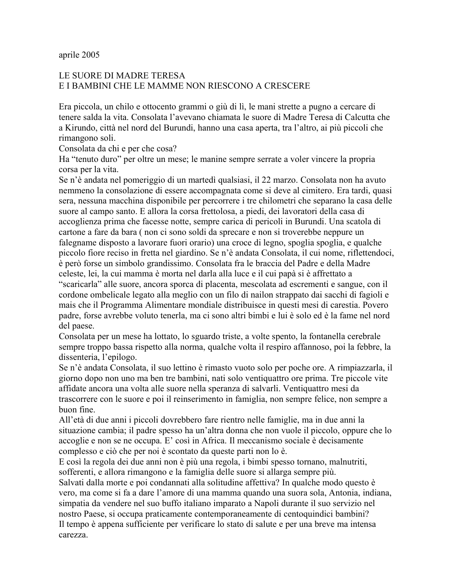## aprile 2005

# LE SUORE DI MADRE TERESA E I BAMBINI CHE LE MAMME NON RIESCONO A CRESCERE

Era piccola, un chilo e ottocento grammi o giù di lì, le mani strette a pugno a cercare di tenere salda la vita. Consolata l'avevano chiamata le suore di Madre Teresa di Calcutta che a Kirundo, città nel nord del Burundi, hanno una casa aperta, tra l'altro, ai più piccoli che rimangono soli.

Consolata da chi e per che cosa?

Ha "tenuto duro" per oltre un mese; le manine sempre serrate a voler vincere la propria corsa per la vita.

Se n'è andata nel pomeriggio di un martedì qualsiasi, il 22 marzo. Consolata non ha avuto nemmeno la consolazione di essere accompagnata come si deve al cimitero. Era tardi, quasi sera, nessuna macchina disponibile per percorrere i tre chilometri che separano la casa delle suore al campo santo. E allora la corsa frettolosa, a piedi, dei lavoratori della casa di accoglienza prima che facesse notte, sempre carica di pericoli in Burundi. Una scatola di cartone a fare da bara (non ci sono soldi da sprecare e non si troverebbe neppure un falegname disposto a lavorare fuori orario) una croce di legno, spoglia spoglia, e qualche piccolo fiore reciso in fretta nel giardino. Se n'è andata Consolata, il cui nome, riflettendoci, è però forse un simbolo grandissimo. Consolata fra le braccia del Padre e della Madre celeste, lei, la cui mamma è morta nel darla alla luce e il cui papà si è affrettato a "scaricarla" alle suore, ancora sporca di placenta, mescolata ad escrementi e sangue, con il cordone ombelicale legato alla meglio con un filo di nailon strappato dai sacchi di fagioli e mais che il Programma Alimentare mondiale distribuisce in questi mesi di carestia. Povero padre, forse avrebbe voluto tenerla, ma ci sono altri bimbi e lui è solo ed è la fame nel nord del paese.

Consolata per un mese ha lottato, lo sguardo triste, a volte spento, la fontanella cerebrale sempre troppo bassa rispetto alla norma, qualche volta il respiro affannoso, poi la febbre, la dissenteria, l'epilogo.

Se n'è andata Consolata, il suo lettino è rimasto vuoto solo per poche ore. A rimpiazzarla, il giorno dopo non uno ma ben tre bambini, nati solo ventiguattro ore prima. Tre piccole vite affidate ancora una volta alle suore nella speranza di salvarli. Ventiquattro mesi da trascorrere con le suore e poi il reinserimento in famiglia, non sempre felice, non sempre a buon fine.

All'età di due anni i piccoli dovrebbero fare rientro nelle famiglie, ma in due anni la situazione cambia; il padre spesso ha un'altra donna che non vuole il piccolo, oppure che lo accoglie e non se ne occupa. E' così in Africa. Il meccanismo sociale è decisamente complesso e ciò che per noi è scontato da queste parti non lo è.

E così la regola dei due anni non è più una regola, i bimbi spesso tornano, malnutriti, sofferenti, e allora rimangono e la famiglia delle suore si allarga sempre più.

Salvati dalla morte e poi condannati alla solitudine affettiva? In qualche modo questo è vero, ma come si fa a dare l'amore di una mamma quando una suora sola, Antonia, indiana, simpatia da vendere nel suo buffo italiano imparato a Napoli durante il suo servizio nel nostro Paese, si occupa praticamente contemporaneamente di centoquindici bambini? Il tempo è appena sufficiente per verificare lo stato di salute e per una breve ma intensa carezza.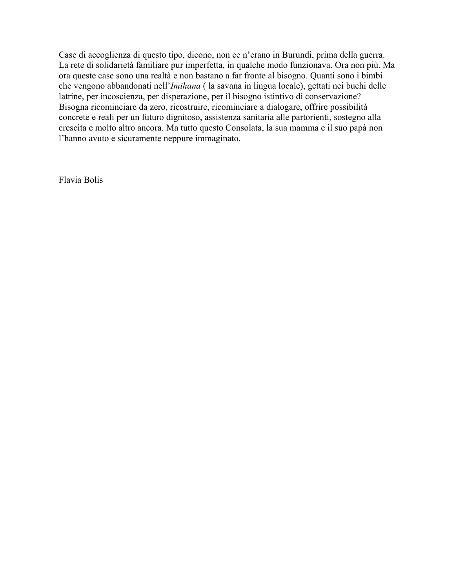Case di accoglienza di questo tipo, dicono, non ce n'erano in Burundi, prima della guerra. La rete di solidarietà familiare pur imperfetta, in qualche modo funzionava. Ora non più. Ma ora queste case sono una realtà e non bastano a far fronte al bisogno. Quanti sono i bimbi che vengono abbandonati nell'Imihana (la savana in lingua locale), gettati nei buchi delle latrine, per incoscienza, per disperazione, per il bisogno istintivo di conservazione? Bisogna ricominciare da zero, ricostruire, ricominciare a dialogare, offrire possibilità concrete e reali per un futuro dignitoso, assistenza sanitaria alle partorienti, sostegno alla crescita e molto altro ancora. Ma tutto questo Consolata, la sua mamma e il suo papà non l'hanno avuto e sicuramente neppure immaginato.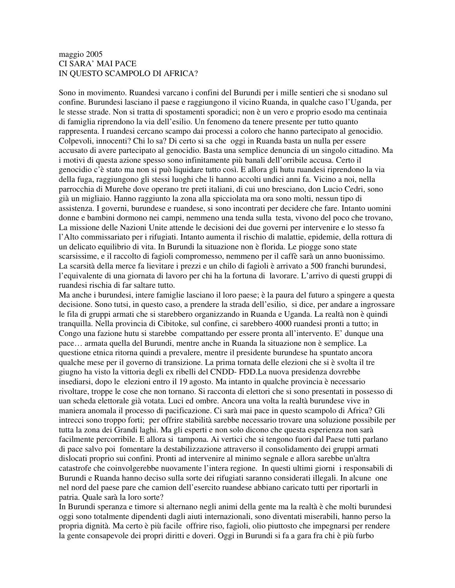## maggio 2005 CI SARA' MAI PACE IN QUESTO SCAMPOLO DI AFRICA?

Sono in movimento. Ruandesi varcano i confini del Burundi per i mille sentieri che si snodano sul confine. Burundesi lasciano il paese e raggiungono il vicino Ruanda, in qualche caso l'Uganda, per le stesse strade. Non si tratta di spostamenti sporadici; non è un vero e proprio esodo ma centinaia di famiglia riprendono la via dell'esilio. Un fenomeno da tenere presente per tutto quanto rappresenta. I ruandesi cercano scampo dai processi a coloro che hanno partecipato al genocidio. Colpevoli, innocenti? Chi lo sa? Di certo si sa che oggi in Ruanda basta un nulla per essere accusato di avere partecipato al genocidio. Basta una semplice denuncia di un singolo cittadino. Ma i motivi di questa azione spesso sono infinitamente più banali dell'orribile accusa. Certo il genocidio c'è stato ma non si può liquidare tutto così. E allora gli hutu ruandesi riprendono la via della fuga, raggiungono gli stessi luoghi che li hanno accolti undici anni fa. Vicino a noi, nella parrocchia di Murehe dove operano tre preti italiani, di cui uno bresciano, don Lucio Cedri, sono già un migliaio. Hanno raggiunto la zona alla spicciolata ma ora sono molti, nessun tipo di assistenza. I governi, burundese e ruandese, si sono incontrati per decidere che fare. Intanto uomini donne e bambini dormono nei campi, nemmeno una tenda sulla testa, vivono del poco che trovano, La missione delle Nazioni Unite attende le decisioni dei due governi per intervenire e lo stesso fa l'Alto commissariato per i rifugiati. Intanto aumenta il rischio di malattie, epidemie, della rottura di un delicato equilibrio di vita. In Burundi la situazione non è florida. Le piogge sono state scarsissime, e il raccolto di fagioli compromesso, nemmeno per il caffè sarà un anno buonissimo. La scarsità della merce fa lievitare i prezzi e un chilo di fagioli è arrivato a 500 franchi burundesi, l'equivalente di una giornata di lavoro per chi ha la fortuna di lavorare. L'arrivo di questi gruppi di ruandesi rischia di far saltare tutto.

Ma anche i burundesi, intere famiglie lasciano il loro paese; è la paura del futuro a spingere a questa decisione. Sono tutsi, in questo caso, a prendere la strada dell'esilio, si dice, per andare a ingrossare le fila di gruppi armati che si starebbero organizzando in Ruanda e Uganda. La realtà non è quindi tranquilla. Nella provincia di Cibitoke, sul confine, ci sarebbero 4000 ruandesi pronti a tutto; in Congo una fazione hutu si starebbe compattando per essere pronta all'intervento. E' dunque una pace… armata quella del Burundi, mentre anche in Ruanda la situazione non è semplice. La questione etnica ritorna quindi a prevalere, mentre il presidente burundese ha spuntato ancora qualche mese per il governo di transizione. La prima tornata delle elezioni che si è svolta il tre giugno ha visto la vittoria degli ex ribelli del CNDD- FDD.La nuova presidenza dovrebbe insediarsi, dopo le elezioni entro il 19 agosto. Ma intanto in qualche provincia è necessario rivoltare, troppe le cose che non tornano. Si racconta di elettori che si sono presentati in possesso di uan scheda elettorale già votata. Luci ed ombre. Ancora una volta la realtà burundese vive in maniera anomala il processo di pacificazione. Ci sarà mai pace in questo scampolo di Africa? Gli intrecci sono troppo forti; per offrire stabilità sarebbe necessario trovare una soluzione possibile per tutta la zona dei Grandi laghi. Ma gli esperti e non solo dicono che questa esperienza non sarà facilmente percorribile. E allora si tampona. Ai vertici che si tengono fuori dal Paese tutti parlano di pace salvo poi fomentare la destabilizzazione attraverso il consolidamento dei gruppi armati dislocati proprio sui confini. Pronti ad intervenire al minimo segnale e allora sarebbe un'altra catastrofe che coinvolgerebbe nuovamente l'intera regione. In questi ultimi giorni i responsabili di Burundi e Ruanda hanno deciso sulla sorte dei rifugiati saranno considerati illegali. In alcune one nel nord del paese pare che camion dell'esercito ruandese abbiano caricato tutti per riportarli in patria. Quale sarà la loro sorte?

In Burundi speranza e timore si alternano negli animi della gente ma la realtà è che molti burundesi oggi sono totalmente dipendenti dagli aiuti internazionali, sono diventati miserabili, hanno perso la propria dignità. Ma certo è più facile offrire riso, fagioli, olio piuttosto che impegnarsi per rendere la gente consapevole dei propri diritti e doveri. Oggi in Burundi si fa a gara fra chi è più furbo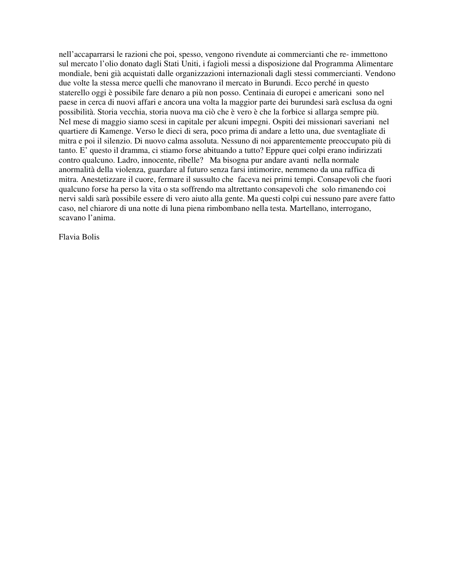nell'accaparrarsi le razioni che poi, spesso, vengono rivendute ai commercianti che re- immettono sul mercato l'olio donato dagli Stati Uniti, i fagioli messi a disposizione dal Programma Alimentare mondiale, beni già acquistati dalle organizzazioni internazionali dagli stessi commercianti. Vendono due volte la stessa merce quelli che manovrano il mercato in Burundi. Ecco perché in questo staterello oggi è possibile fare denaro a più non posso. Centinaia di europei e americani sono nel paese in cerca di nuovi affari e ancora una volta la maggior parte dei burundesi sarà esclusa da ogni possibilità. Storia vecchia, storia nuova ma ciò che è vero è che la forbice si allarga sempre più. Nel mese di maggio siamo scesi in capitale per alcuni impegni. Ospiti dei missionari saveriani nel quartiere di Kamenge. Verso le dieci di sera, poco prima di andare a letto una, due sventagliate di mitra e poi il silenzio. Di nuovo calma assoluta. Nessuno di noi apparentemente preoccupato più di tanto. E' questo il dramma, ci stiamo forse abituando a tutto? Eppure quei colpi erano indirizzati contro qualcuno. Ladro, innocente, ribelle? Ma bisogna pur andare avanti nella normale anormalità della violenza, guardare al futuro senza farsi intimorire, nemmeno da una raffica di mitra. Anestetizzare il cuore, fermare il sussulto che faceva nei primi tempi. Consapevoli che fuori qualcuno forse ha perso la vita o sta soffrendo ma altrettanto consapevoli che solo rimanendo coi nervi saldi sarà possibile essere di vero aiuto alla gente. Ma questi colpi cui nessuno pare avere fatto caso, nel chiarore di una notte di luna piena rimbombano nella testa. Martellano, interrogano, scavano l'anima.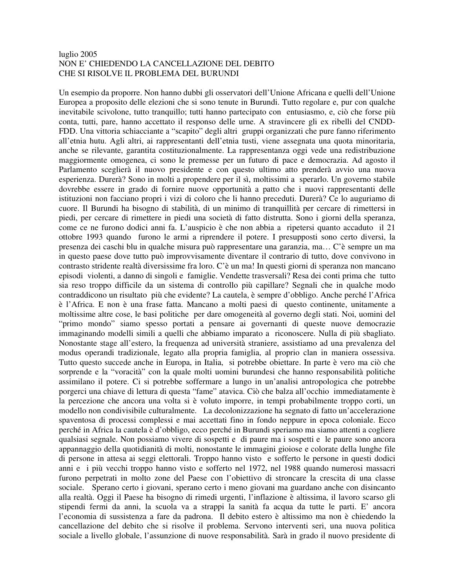### luglio 2005 NON E' CHIEDENDO LA CANCELLAZIONE DEL DEBITO CHE SI RISOLVE IL PROBLEMA DEL BURUNDI

Un esempio da proporre. Non hanno dubbi gli osservatori dell'Unione Africana e quelli dell'Unione Europea a proposito delle elezioni che si sono tenute in Burundi. Tutto regolare e, pur con qualche inevitabile scivolone, tutto tranquillo; tutti hanno partecipato con entusiasmo, e, ciò che forse più conta, tutti, pare, hanno accettato il responso delle urne. A stravincere gli ex ribelli del CNDD-FDD. Una vittoria schiacciante a "scapito" degli altri gruppi organizzati che pure fanno riferimento all'etnia hutu. Agli altri, ai rappresentanti dell'etnia tusti, viene assegnata una quota minoritaria, anche se rilevante, garantita costituzionalmente. La rappresentanza oggi vede una redistribuzione maggiormente omogenea, ci sono le premesse per un futuro di pace e democrazia. Ad agosto il Parlamento sceglierà il nuovo presidente e con questo ultimo atto prenderà avvio una nuova esperienza. Durerà? Sono in molti a propendere per il sì, moltissimi a sperarlo. Un governo stabile dovrebbe essere in grado di fornire nuove opportunità a patto che i nuovi rappresentanti delle istituzioni non facciano propri i vizi di coloro che li hanno preceduti. Durerà? Ce lo auguriamo di cuore. Il Burundi ha bisogno di stabilità, di un minimo di tranquillità per cercare di rimettersi in piedi, per cercare di rimettere in piedi una società di fatto distrutta. Sono i giorni della speranza, come ce ne furono dodici anni fa. L'auspicio è che non abbia a ripetersi quanto accaduto il 21 ottobre 1993 quando furono le armi a riprendere il potere. I presupposti sono certo diversi, la presenza dei caschi blu in qualche misura può rappresentare una garanzia, ma… C'è sempre un ma in questo paese dove tutto può improvvisamente diventare il contrario di tutto, dove convivono in contrasto stridente realtà diversissime fra loro. C'è un ma! In questi giorni di speranza non mancano episodi violenti, a danno di singoli e famiglie. Vendette trasversali? Resa dei conti prima che tutto sia reso troppo difficile da un sistema di controllo più capillare? Segnali che in qualche modo contraddicono un risultato più che evidente? La cautela, è sempre d'obbligo. Anche perché l'Africa è l'Africa. E non è una frase fatta. Mancano a molti paesi di questo continente, unitamente a moltissime altre cose, le basi politiche per dare omogeneità al governo degli stati. Noi, uomini del "primo mondo" siamo spesso portati a pensare ai governanti di queste nuove democrazie immaginando modelli simili a quelli che abbiamo imparato a riconoscere. Nulla di più sbagliato. Nonostante stage all'estero, la frequenza ad università straniere, assistiamo ad una prevalenza del modus operandi tradizionale, legato alla propria famiglia, al proprio clan in maniera ossessiva. Tutto questo succede anche in Europa, in Italia, si potrebbe obiettare. In parte è vero ma ciò che sorprende e la "voracità" con la quale molti uomini burundesi che hanno responsabilità politiche assimilano il potere. Ci si potrebbe soffermare a lungo in un'analisi antropologica che potrebbe porgerci una chiave di lettura di questa "fame" atavica. Ciò che balza all'occhio immediatamente è la percezione che ancora una volta si è voluto imporre, in tempi probabilmente troppo corti, un modello non condivisibile culturalmente. La decolonizzazione ha segnato di fatto un'accelerazione spaventosa di processi complessi e mai accettati fino in fondo neppure in epoca coloniale. Ecco perché in Africa la cautela è d'obbligo, ecco perché in Burundi speriamo ma siamo attenti a cogliere qualsiasi segnale. Non possiamo vivere di sospetti e di paure ma i sospetti e le paure sono ancora appannaggio della quotidianità di molti, nonostante le immagini gioiose e colorate della lunghe file di persone in attesa ai seggi elettorali. Troppo hanno visto e sofferto le persone in questi dodici anni e i più vecchi troppo hanno visto e sofferto nel 1972, nel 1988 quando numerosi massacri furono perpetrati in molto zone del Paese con l'obiettivo di stroncare la crescita di una classe sociale. Sperano certo i giovani, sperano certo i meno giovani ma guardano anche con disincanto alla realtà. Oggi il Paese ha bisogno di rimedi urgenti, l'inflazione è altissima, il lavoro scarso gli stipendi fermi da anni, la scuola va a strappi la sanità fa acqua da tutte le parti. E' ancora l'economia di sussistenza a fare da padrona. Il debito estero è altissimo ma non è chiedendo la cancellazione del debito che si risolve il problema. Servono interventi seri, una nuova politica sociale a livello globale, l'assunzione di nuove responsabilità. Sarà in grado il nuovo presidente di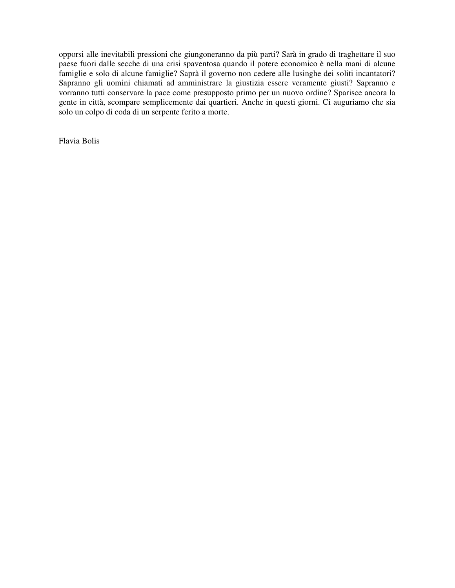opporsi alle inevitabili pressioni che giungoneranno da più parti? Sarà in grado di traghettare il suo paese fuori dalle secche di una crisi spaventosa quando il potere economico è nella mani di alcune famiglie e solo di alcune famiglie? Saprà il governo non cedere alle lusinghe dei soliti incantatori? Sapranno gli uomini chiamati ad amministrare la giustizia essere veramente giusti? Sapranno e vorranno tutti conservare la pace come presupposto primo per un nuovo ordine? Sparisce ancora la gente in città, scompare semplicemente dai quartieri. Anche in questi giorni. Ci auguriamo che sia solo un colpo di coda di un serpente ferito a morte.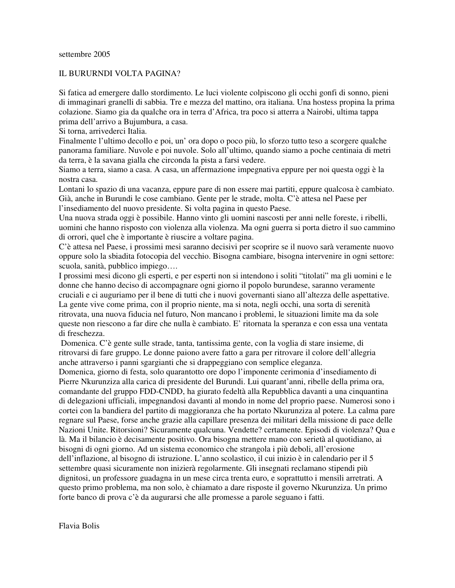## IL BURURNDI VOLTA PAGINA?

Si fatica ad emergere dallo stordimento. Le luci violente colpiscono gli occhi gonfi di sonno, pieni di immaginari granelli di sabbia. Tre e mezza del mattino, ora italiana. Una hostess propina la prima colazione. Siamo gia da qualche ora in terra d'Africa, tra poco si atterra a Nairobi, ultima tappa prima dell'arrivo a Bujumbura, a casa.

Si torna, arrivederci Italia.

Finalmente l'ultimo decollo e poi, un' ora dopo o poco più, lo sforzo tutto teso a scorgere qualche panorama familiare. Nuvole e poi nuvole. Solo all'ultimo, quando siamo a poche centinaia di metri da terra, è la savana gialla che circonda la pista a farsi vedere.

Siamo a terra, siamo a casa. A casa, un affermazione impegnativa eppure per noi questa oggi è la nostra casa.

Lontani lo spazio di una vacanza, eppure pare di non essere mai partiti, eppure qualcosa è cambiato. Già, anche in Burundi le cose cambiano. Gente per le strade, molta. C'è attesa nel Paese per l'insediamento del nuovo presidente. Si volta pagina in questo Paese.

Una nuova strada oggi è possibile. Hanno vinto gli uomini nascosti per anni nelle foreste, i ribelli, uomini che hanno risposto con violenza alla violenza. Ma ogni guerra si porta dietro il suo cammino di orrori, quel che è importante è riuscire a voltare pagina.

C'è attesa nel Paese, i prossimi mesi saranno decisivi per scoprire se il nuovo sarà veramente nuovo oppure solo la sbiadita fotocopia del vecchio. Bisogna cambiare, bisogna intervenire in ogni settore: scuola, sanità, pubblico impiego….

I prossimi mesi dicono gli esperti, e per esperti non si intendono i soliti "titolati" ma gli uomini e le donne che hanno deciso di accompagnare ogni giorno il popolo burundese, saranno veramente cruciali e ci auguriamo per il bene di tutti che i nuovi governanti siano all'altezza delle aspettative. La gente vive come prima, con il proprio niente, ma si nota, negli occhi, una sorta di serenità ritrovata, una nuova fiducia nel futuro, Non mancano i problemi, le situazioni limite ma da sole queste non riescono a far dire che nulla è cambiato. E' ritornata la speranza e con essa una ventata di freschezza.

Domenica. C'è gente sulle strade, tanta, tantissima gente, con la voglia di stare insieme, di ritrovarsi di fare gruppo. Le donne paiono avere fatto a gara per ritrovare il colore dell'allegria anche attraverso i panni sgargianti che si drappeggiano con semplice eleganza.

Domenica, giorno di festa, solo quarantotto ore dopo l'imponente cerimonia d'insediamento di Pierre Nkurunziza alla carica di presidente del Burundi. Lui quarant'anni, ribelle della prima ora, comandante del gruppo FDD-CNDD, ha giurato fedeltà alla Repubblica davanti a una cinquantina di delegazioni ufficiali, impegnandosi davanti al mondo in nome del proprio paese. Numerosi sono i cortei con la bandiera del partito di maggioranza che ha portato Nkurunziza al potere. La calma pare regnare sul Paese, forse anche grazie alla capillare presenza dei militari della missione di pace delle Nazioni Unite. Ritorsioni? Sicuramente qualcuna. Vendette? certamente. Episodi di violenza? Qua e là. Ma il bilancio è decisamente positivo. Ora bisogna mettere mano con serietà al quotidiano, ai bisogni di ogni giorno. Ad un sistema economico che strangola i più deboli, all'erosione dell'inflazione, al bisogno di istruzione. L'anno scolastico, il cui inizio è in calendario per il 5 settembre quasi sicuramente non inizierà regolarmente. Gli insegnati reclamano stipendi più dignitosi, un professore guadagna in un mese circa trenta euro, e soprattutto i mensili arretrati. A questo primo problema, ma non solo, è chiamato a dare risposte il governo Nkurunziza. Un primo forte banco di prova c'è da augurarsi che alle promesse a parole seguano i fatti.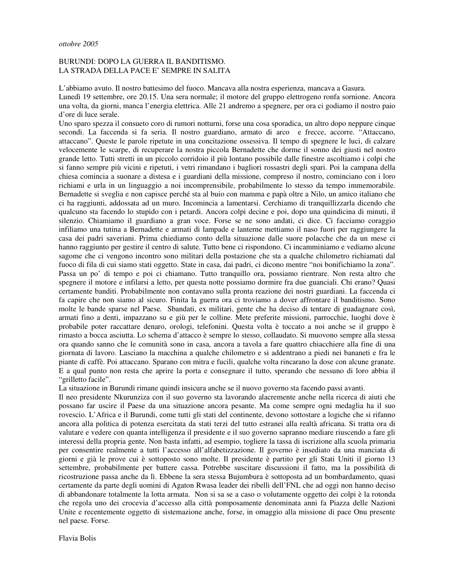#### BURUNDI: DOPO LA GUERRA IL BANDITISMO. LA STRADA DELLA PACE E' SEMPRE IN SALITA

L'abbiamo avuto. Il nostro battesimo del fuoco. Mancava alla nostra esperienza, mancava a Gasura. Lunedì 19 settembre, ore 20.15. Una sera normale; il motore del gruppo elettrogeno ronfa sornione. Ancora una volta, da giorni, manca l'energia elettrica. Alle 21 andremo a spegnere, per ora ci godiamo il nostro paio d'ore di luce serale.

Uno sparo spezza il consueto coro di rumori notturni, forse una cosa sporadica, un altro dopo neppure cinque secondi. La faccenda si fa seria. Il nostro guardiano, armato di arco e frecce, accorre. "Attaccano, attaccano". Queste le parole ripetute in una concitazione ossessiva. Il tempo di spegnere le luci, di calzare velocemente le scarpe, di recuperare la nostra piccola Bernadette che dorme il sonno dei giusti nel nostro grande letto. Tutti stretti in un piccolo corridoio il più lontano possibile dalle finestre ascoltiamo i colpi che si fanno sempre più vicini e ripetuti, i vetri rimandano i bagliori rossastri degli spari. Poi la campana della chiesa comincia a suonare a distesa e i guardiani della missione, compreso il nostro, cominciano con i loro richiami e urla in un linguaggio a noi incomprensibile, probabilmente lo stesso da tempo immemorabile. Bernadette si sveglia e non capisce perché sta al buio con mamma e papà oltre a Nilo, un amico italiano che ci ha raggiunti, addossata ad un muro. Incomincia a lamentarsi. Cerchiamo di tranquillizzarla dicendo che qualcuno sta facendo lo stupido con i petardi. Ancora colpi decine e poi, dopo una quindicina di minuti, il silenzio. Chiamiamo il guardiano a gran voce. Forse se ne sono andati, ci dice. Ci facciamo coraggio infiliamo una tutina a Bernadette e armati di lampade e lanterne mettiamo il naso fuori per raggiungere la casa dei padri saveriani. Prima chiediamo conto della situazione dalle suore polacche che da un mese ci hanno raggiunto per gestire il centro di salute. Tutto bene ci rispondono. Ci incamminiamo e vediamo alcune sagome che ci vengono incontro sono militari della postazione che sta a qualche chilometro richiamati dal fuoco di fila di cui siamo stati oggetto. State in casa, dai padri, ci dicono mentre "noi bonifichiamo la zona". Passa un po' di tempo e poi ci chiamano. Tutto tranquillo ora, possiamo rientrare. Non resta altro che spegnere il motore e infilarsi a letto, per questa notte possiamo dormire fra due guanciali. Chi erano? Quasi certamente banditi. Probabilmente non contavano sulla pronta reazione dei nostri guardiani. La faccenda ci fa capire che non siamo al sicuro. Finita la guerra ora ci troviamo a dover affrontare il banditismo. Sono molte le bande sparse nel Paese. Sbandati, ex militari, gente che ha deciso di tentare di guadagnare così, armati fino a denti, impazzano su e giù per le colline. Mete preferite missioni, parrocchie, luoghi dove è probabile poter raccattare denaro, orologi, telefonini. Questa volta è toccato a noi anche se il gruppo è rimasto a bocca asciutta. Lo schema d'attacco è sempre lo stesso, collaudato. Si muovono sempre alla stessa ora quando sanno che le comunità sono in casa, ancora a tavola a fare quattro chiacchiere alla fine di una giornata di lavoro. Lasciano la macchina a qualche chilometro e si addentrano a piedi nei bananeti e fra le piante di caffè. Poi attaccano. Sparano con mitra e fucili, qualche volta rincarano la dose con alcune granate. E a qual punto non resta che aprire la porta e consegnare il tutto, sperando che nessuno di loro abbia il "grilletto facile".

La situazione in Burundi rimane quindi insicura anche se il nuovo governo sta facendo passi avanti.

Il neo presidente Nkurunziza con il suo governo sta lavorando alacremente anche nella ricerca di aiuti che possano far uscire il Paese da una situazione ancora pesante. Ma come sempre ogni medaglia ha il suo rovescio. L'Africa e il Burundi, come tutti gli stati del continente, devono sottostare a logiche che si rifanno ancora alla politica di potenza esercitata da stati terzi del tutto estranei alla realtà africana. Si tratta ora di valutare e vedere con quanta intelligenza il presidente e il suo governo sapranno mediare riuscendo a fare gli interessi della propria gente. Non basta infatti, ad esempio, togliere la tassa di iscrizione alla scuola primaria per consentire realmente a tutti l'accesso all'alfabetizzazione. Il governo è insediato da una manciata di giorni e già le prove cui è sottoposto sono molte. Il presidente è partito per gli Stati Uniti il giorno 13 settembre, probabilmente per battere cassa. Potrebbe suscitare discussioni il fatto, ma la possibilità di ricostruzione passa anche da lì. Ebbene la sera stessa Bujumbura è sottoposta ad un bombardamento, quasi certamente da parte degli uomini di Agaton Rwasa leader dei ribelli dell'FNL che ad oggi non hanno deciso di abbandonare totalmente la lotta armata. Non si sa se a caso o volutamente oggetto dei colpi è la rotonda che regola uno dei crocevia d'accesso alla città pomposamente denominata anni fa Piazza delle Nazioni Unite e recentemente oggetto di sistemazione anche, forse, in omaggio alla missione di pace Onu presente nel paese. Forse.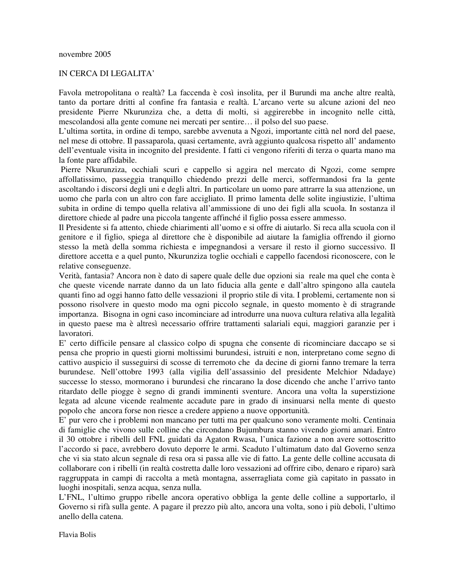## IN CERCA DI LEGALITA'

Favola metropolitana o realtà? La faccenda è così insolita, per il Burundi ma anche altre realtà, tanto da portare dritti al confine fra fantasia e realtà. L'arcano verte su alcune azioni del neo presidente Pierre Nkurunziza che, a detta di molti, si aggirerebbe in incognito nelle città, mescolandosi alla gente comune nei mercati per sentire… il polso del suo paese.

L'ultima sortita, in ordine di tempo, sarebbe avvenuta a Ngozi, importante città nel nord del paese, nel mese di ottobre. Il passaparola, quasi certamente, avrà aggiunto qualcosa rispetto all' andamento dell'eventuale visita in incognito del presidente. I fatti ci vengono riferiti di terza o quarta mano ma la fonte pare affidabile.

Pierre Nkurunziza, occhiali scuri e cappello si aggira nel mercato di Ngozi, come sempre affollatissimo, passeggia tranquillo chiedendo prezzi delle merci, soffermandosi fra la gente ascoltando i discorsi degli uni e degli altri. In particolare un uomo pare attrarre la sua attenzione, un uomo che parla con un altro con fare accigliato. Il primo lamenta delle solite ingiustizie, l'ultima subita in ordine di tempo quella relativa all'ammissione di uno dei figli alla scuola. In sostanza il direttore chiede al padre una piccola tangente affinché il figlio possa essere ammesso.

Il Presidente si fa attento, chiede chiarimenti all'uomo e si offre di aiutarlo. Si reca alla scuola con il genitore e il figlio, spiega al direttore che è disponibile ad aiutare la famiglia offrendo il giorno stesso la metà della somma richiesta e impegnandosi a versare il resto il giorno successivo. Il direttore accetta e a quel punto, Nkurunziza toglie occhiali e cappello facendosi riconoscere, con le relative conseguenze.

Verità, fantasia? Ancora non è dato di sapere quale delle due opzioni sia reale ma quel che conta è che queste vicende narrate danno da un lato fiducia alla gente e dall'altro spingono alla cautela quanti fino ad oggi hanno fatto delle vessazioni il proprio stile di vita. I problemi, certamente non si possono risolvere in questo modo ma ogni piccolo segnale, in questo momento è di stragrande importanza. Bisogna in ogni caso incominciare ad introdurre una nuova cultura relativa alla legalità in questo paese ma è altresì necessario offrire trattamenti salariali equi, maggiori garanzie per i lavoratori.

E' certo difficile pensare al classico colpo di spugna che consente di ricominciare daccapo se si pensa che proprio in questi giorni moltissimi burundesi, istruiti e non, interpretano come segno di cattivo auspicio il susseguirsi di scosse di terremoto che da decine di giorni fanno tremare la terra burundese. Nell'ottobre 1993 (alla vigilia dell'assassinio del presidente Melchior Ndadaye) successe lo stesso, mormorano i burundesi che rincarano la dose dicendo che anche l'arrivo tanto ritardato delle piogge è segno di grandi imminenti sventure. Ancora una volta la superstizione legata ad alcune vicende realmente accadute pare in grado di insinuarsi nella mente di questo popolo che ancora forse non riesce a credere appieno a nuove opportunità.

E' pur vero che i problemi non mancano per tutti ma per qualcuno sono veramente molti. Centinaia di famiglie che vivono sulle colline che circondano Bujumbura stanno vivendo giorni amari. Entro il 30 ottobre i ribelli dell FNL guidati da Agaton Rwasa, l'unica fazione a non avere sottoscritto l'accordo si pace, avrebbero dovuto deporre le armi. Scaduto l'ultimatum dato dal Governo senza che vi sia stato alcun segnale di resa ora si passa alle vie di fatto. La gente delle colline accusata di collaborare con i ribelli (in realtà costretta dalle loro vessazioni ad offrire cibo, denaro e riparo) sarà raggruppata in campi di raccolta a metà montagna, asserragliata come già capitato in passato in luoghi inospitali, senza acqua, senza nulla.

L'FNL, l'ultimo gruppo ribelle ancora operativo obbliga la gente delle colline a supportarlo, il Governo si rifà sulla gente. A pagare il prezzo più alto, ancora una volta, sono i più deboli, l'ultimo anello della catena.